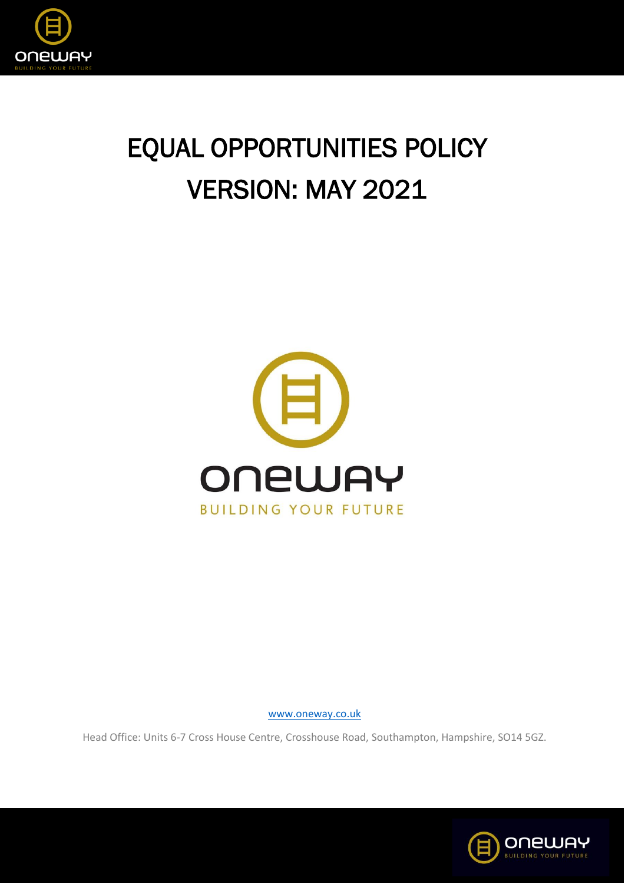

# EQUAL OPPORTUNITIES POLICY VERSION: MAY 2021



[www.oneway.co.uk](http://www.oneway.co.uk/)

Head Office: Units 6-7 Cross House Centre, Crosshouse Road, Southampton, Hampshire, SO14 5GZ.

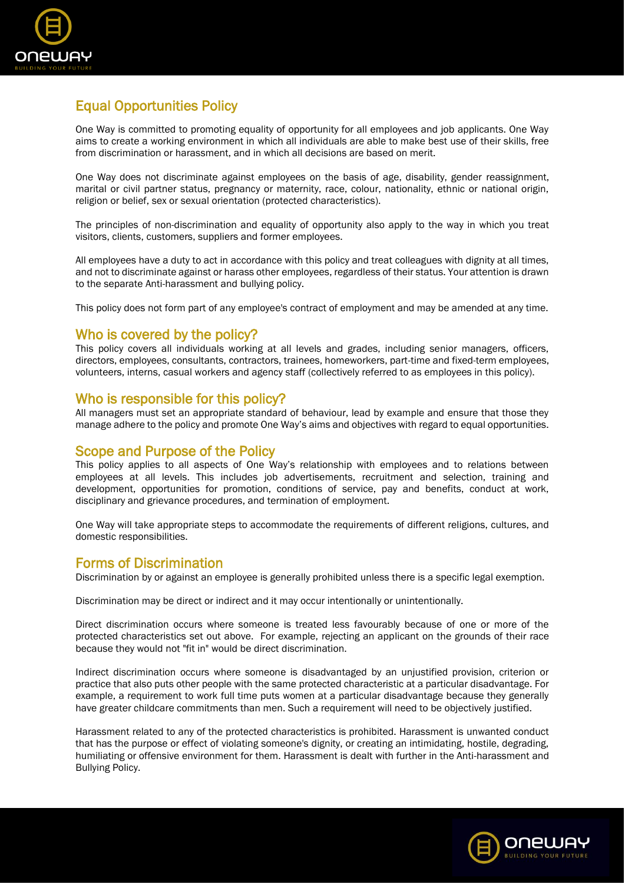

# Equal Opportunities Policy

One Way is committed to promoting equality of opportunity for all employees and job applicants. One Way aims to create a working environment in which all individuals are able to make best use of their skills, free from discrimination or harassment, and in which all decisions are based on merit.

One Way does not discriminate against employees on the basis of age, disability, gender reassignment, marital or civil partner status, pregnancy or maternity, race, colour, nationality, ethnic or national origin, religion or belief, sex or sexual orientation (protected characteristics).

The principles of non-discrimination and equality of opportunity also apply to the way in which you treat visitors, clients, customers, suppliers and former employees.

All employees have a duty to act in accordance with this policy and treat colleagues with dignity at all times, and not to discriminate against or harass other employees, regardless of their status. Your attention is drawn to the separate Anti-harassment and bullying policy.

This policy does not form part of any employee's contract of employment and may be amended at any time.

## Who is covered by the policy?

This policy covers all individuals working at all levels and grades, including senior managers, officers, directors, employees, consultants, contractors, trainees, homeworkers, part-time and fixed-term employees, volunteers, interns, casual workers and agency staff (collectively referred to as employees in this policy).

## Who is responsible for this policy?

All managers must set an appropriate standard of behaviour, lead by example and ensure that those they manage adhere to the policy and promote One Way's aims and objectives with regard to equal opportunities.

## Scope and Purpose of the Policy

This policy applies to all aspects of One Way's relationship with employees and to relations between employees at all levels. This includes job advertisements, recruitment and selection, training and development, opportunities for promotion, conditions of service, pay and benefits, conduct at work, disciplinary and grievance procedures, and termination of employment.

One Way will take appropriate steps to accommodate the requirements of different religions, cultures, and domestic responsibilities.

# Forms of Discrimination

Discrimination by or against an employee is generally prohibited unless there is a specific legal exemption.

Discrimination may be direct or indirect and it may occur intentionally or unintentionally.

Direct discrimination occurs where someone is treated less favourably because of one or more of the protected characteristics set out above. For example, rejecting an applicant on the grounds of their race because they would not "fit in" would be direct discrimination.

Indirect discrimination occurs where someone is disadvantaged by an unjustified provision, criterion or practice that also puts other people with the same protected characteristic at a particular disadvantage. For example, a requirement to work full time puts women at a particular disadvantage because they generally have greater childcare commitments than men. Such a requirement will need to be objectively justified.

Harassment related to any of the protected characteristics is prohibited. Harassment is unwanted conduct that has the purpose or effect of violating someone's dignity, or creating an intimidating, hostile, degrading, humiliating or offensive environment for them. Harassment is dealt with further in the Anti-harassment and Bullying Policy.

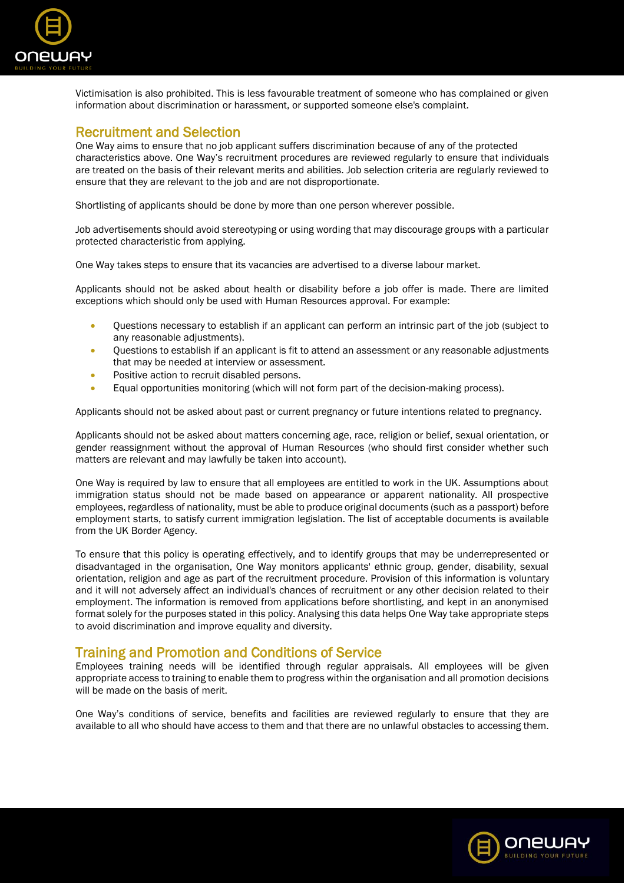

Victimisation is also prohibited. This is less favourable treatment of someone who has complained or given information about discrimination or harassment, or supported someone else's complaint.

#### Recruitment and Selection

One Way aims to ensure that no job applicant suffers discrimination because of any of the protected characteristics above. One Way's recruitment procedures are reviewed regularly to ensure that individuals are treated on the basis of their relevant merits and abilities. Job selection criteria are regularly reviewed to ensure that they are relevant to the job and are not disproportionate.

Shortlisting of applicants should be done by more than one person wherever possible.

Job advertisements should avoid stereotyping or using wording that may discourage groups with a particular protected characteristic from applying.

One Way takes steps to ensure that its vacancies are advertised to a diverse labour market.

Applicants should not be asked about health or disability before a job offer is made. There are limited exceptions which should only be used with Human Resources approval. For example:

- Questions necessary to establish if an applicant can perform an intrinsic part of the job (subject to any reasonable adjustments).
- Questions to establish if an applicant is fit to attend an assessment or any reasonable adjustments that may be needed at interview or assessment.
- Positive action to recruit disabled persons.
- Equal opportunities monitoring (which will not form part of the decision-making process).

Applicants should not be asked about past or current pregnancy or future intentions related to pregnancy.

Applicants should not be asked about matters concerning age, race, religion or belief, sexual orientation, or gender reassignment without the approval of Human Resources (who should first consider whether such matters are relevant and may lawfully be taken into account).

One Way is required by law to ensure that all employees are entitled to work in the UK. Assumptions about immigration status should not be made based on appearance or apparent nationality. All prospective employees, regardless of nationality, must be able to produce original documents (such as a passport) before employment starts, to satisfy current immigration legislation. The list of acceptable documents is available from the UK Border Agency.

To ensure that this policy is operating effectively, and to identify groups that may be underrepresented or disadvantaged in the organisation, One Way monitors applicants' ethnic group, gender, disability, sexual orientation, religion and age as part of the recruitment procedure. Provision of this information is voluntary and it will not adversely affect an individual's chances of recruitment or any other decision related to their employment. The information is removed from applications before shortlisting, and kept in an anonymised format solely for the purposes stated in this policy. Analysing this data helps One Way take appropriate steps to avoid discrimination and improve equality and diversity.

# Training and Promotion and Conditions of Service

Employees training needs will be identified through regular appraisals. All employees will be given appropriate access to training to enable them to progress within the organisation and all promotion decisions will be made on the basis of merit.

One Way's conditions of service, benefits and facilities are reviewed regularly to ensure that they are available to all who should have access to them and that there are no unlawful obstacles to accessing them.

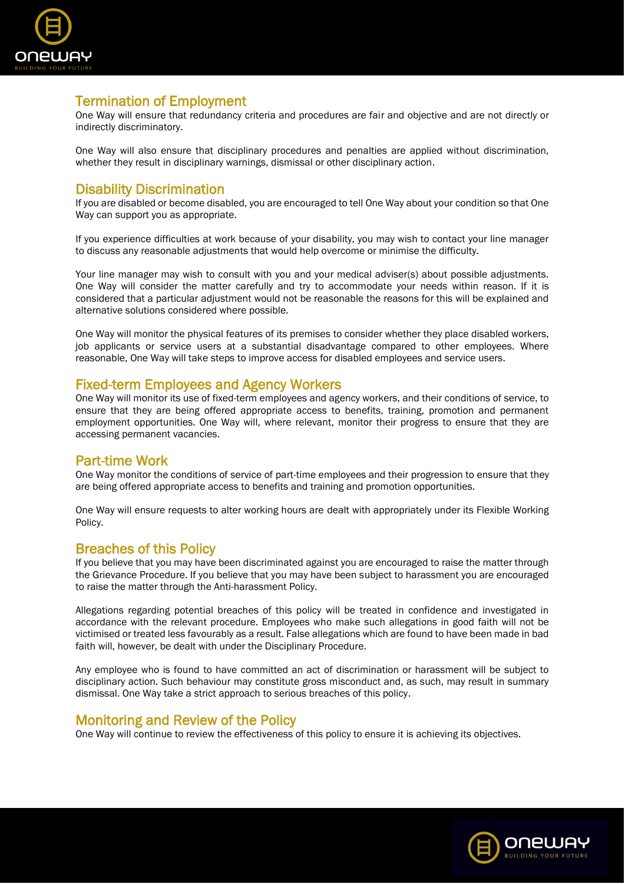

# Termination of Employment

One Way will ensure that redundancy criteria and procedures are fair and objective and are not directly or indirectly discriminatory.

One Way will also ensure that disciplinary procedures and penalties are applied without discrimination, whether they result in disciplinary warnings, dismissal or other disciplinary action.

## Disability Discrimination

If you are disabled or become disabled, you are encouraged to tell One Way about your condition so that One Way can support you as appropriate.

If you experience difficulties at work because of your disability, you may wish to contact your line manager to discuss any reasonable adjustments that would help overcome or minimise the difficulty.

Your line manager may wish to consult with you and your medical adviser(s) about possible adjustments. One Way will consider the matter carefully and try to accommodate your needs within reason. If it is considered that a particular adjustment would not be reasonable the reasons for this will be explained and alternative solutions considered where possible.

One Way will monitor the physical features of its premises to consider whether they place disabled workers, job applicants or service users at a substantial disadvantage compared to other employees. Where reasonable, One Way will take steps to improve access for disabled employees and service users.

#### Fixed-term Employees and Agency Workers

One Way will monitor its use of fixed-term employees and agency workers, and their conditions of service, to ensure that they are being offered appropriate access to benefits, training, promotion and permanent employment opportunities. One Way will, where relevant, monitor their progress to ensure that they are accessing permanent vacancies.

## Part-time Work

One Way monitor the conditions of service of part-time employees and their progression to ensure that they are being offered appropriate access to benefits and training and promotion opportunities.

One Way will ensure requests to alter working hours are dealt with appropriately under its Flexible Working Policy.

#### Breaches of this Policy

If you believe that you may have been discriminated against you are encouraged to raise the matter through the Grievance Procedure. If you believe that you may have been subject to harassment you are encouraged to raise the matter through the Anti-harassment Policy.

Allegations regarding potential breaches of this policy will be treated in confidence and investigated in accordance with the relevant procedure. Employees who make such allegations in good faith will not be victimised or treated less favourably as a result. False allegations which are found to have been made in bad faith will, however, be dealt with under the Disciplinary Procedure.

Any employee who is found to have committed an act of discrimination or harassment will be subject to disciplinary action. Such behaviour may constitute gross misconduct and, as such, may result in summary dismissal. One Way take a strict approach to serious breaches of this policy.

#### Monitoring and Review of the Policy

One Way will continue to review the effectiveness of this policy to ensure it is achieving its objectives.